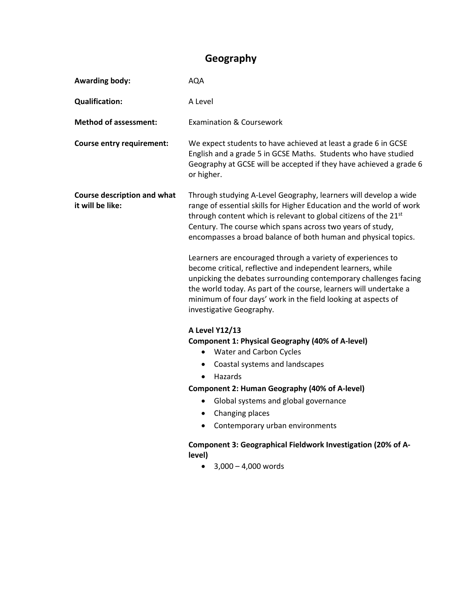## **Geography**

| <b>Awarding body:</b>                                  | <b>AQA</b>                                                                                                                                                                                                                                                                                                                                                                                                                                                                                                                                                                                                                                                                                                                   |
|--------------------------------------------------------|------------------------------------------------------------------------------------------------------------------------------------------------------------------------------------------------------------------------------------------------------------------------------------------------------------------------------------------------------------------------------------------------------------------------------------------------------------------------------------------------------------------------------------------------------------------------------------------------------------------------------------------------------------------------------------------------------------------------------|
| <b>Qualification:</b>                                  | A Level                                                                                                                                                                                                                                                                                                                                                                                                                                                                                                                                                                                                                                                                                                                      |
| <b>Method of assessment:</b>                           | <b>Examination &amp; Coursework</b>                                                                                                                                                                                                                                                                                                                                                                                                                                                                                                                                                                                                                                                                                          |
| <b>Course entry requirement:</b>                       | We expect students to have achieved at least a grade 6 in GCSE<br>English and a grade 5 in GCSE Maths. Students who have studied<br>Geography at GCSE will be accepted if they have achieved a grade 6<br>or higher.                                                                                                                                                                                                                                                                                                                                                                                                                                                                                                         |
| <b>Course description and what</b><br>it will be like: | Through studying A-Level Geography, learners will develop a wide<br>range of essential skills for Higher Education and the world of work<br>through content which is relevant to global citizens of the 21 <sup>st</sup><br>Century. The course which spans across two years of study,<br>encompasses a broad balance of both human and physical topics.<br>Learners are encouraged through a variety of experiences to<br>become critical, reflective and independent learners, while<br>unpicking the debates surrounding contemporary challenges facing<br>the world today. As part of the course, learners will undertake a<br>minimum of four days' work in the field looking at aspects of<br>investigative Geography. |
|                                                        | A Level Y12/13<br><b>Component 1: Physical Geography (40% of A-level)</b><br><b>Water and Carbon Cycles</b><br>$\bullet$<br>Coastal systems and landscapes<br>$\bullet$<br>Hazards<br>$\bullet$<br><b>Component 2: Human Geography (40% of A-level)</b><br>Global systems and global governance<br>$\bullet$<br>• Changing places<br>Contemporary urban environments<br>Component 3: Geographical Fieldwork Investigation (20% of A-<br>level)<br>$3,000 - 4,000$ words                                                                                                                                                                                                                                                      |